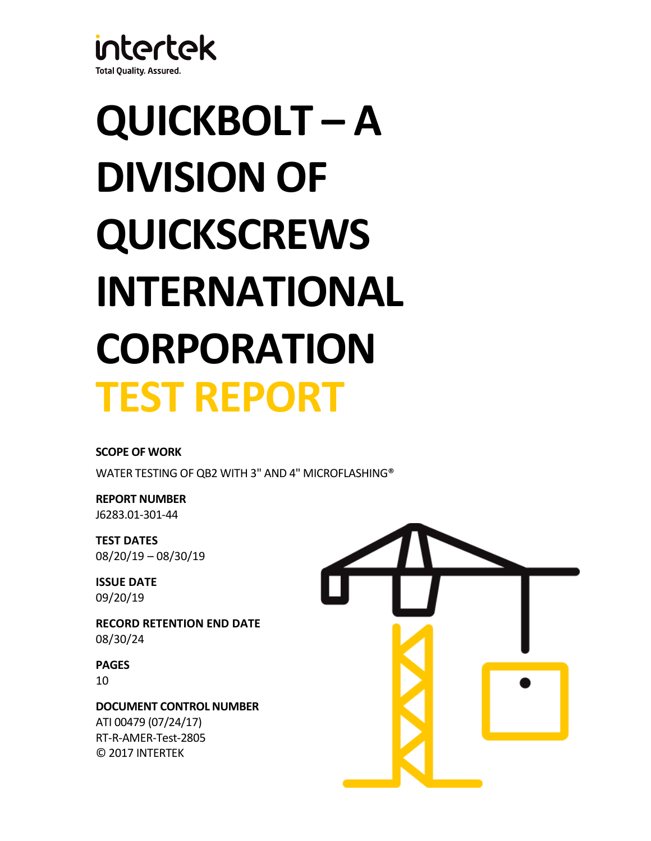

# **QUICKBOLT – A DIVISION OF QUICKSCREWS INTERNATIONAL CORPORATION TEST REPORT**

# **SCOPE OF WORK**

WATER TESTING OF QB2 WITH 3" AND 4" MICROFLASHING®

**REPORT NUMBER** J6283.01-301-44

**TEST DATES** 08/20/19 – 08/30/19

**ISSUE DATE** 09/20/19

**RECORD RETENTION END DATE** 08/30/24

**PAGES** 10

**DOCUMENT CONTROL NUMBER** ATI 00479 (07/24/17) RT-R-AMER-Test-2805 © 2017 INTERTEK

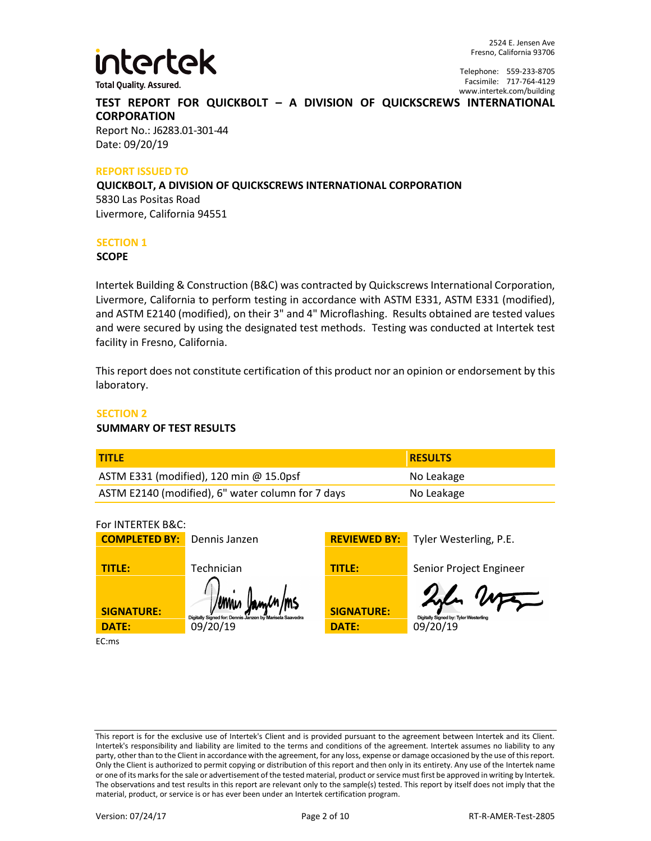

2524 E. Jensen Ave Fresno, California 93706

Telephone: 559-233-8705 Facsimile: 717-764-4129 www.intertek.com/building

# **TEST REPORT FOR QUICKBOLT – A DIVISION OF QUICKSCREWS INTERNATIONAL CORPORATION**

Report No.: J6283.01-301-44 Date: 09/20/19

#### **REPORT ISSUED TO**

**QUICKBOLT, A DIVISION OF QUICKSCREWS INTERNATIONAL CORPORATION** 5830 Las Positas Road Livermore, California 94551

#### **SECTION 1**

**SCOPE**

Intertek Building & Construction (B&C) was contracted by Quickscrews International Corporation, Livermore, California to perform testing in accordance with ASTM E331, ASTM E331 (modified), and ASTM E2140 (modified), on their 3" and 4" Microflashing. Results obtained are tested values and were secured by using the designated test methods. Testing was conducted at Intertek test facility in Fresno, California.

This report does not constitute certification of this product nor an opinion or endorsement by this laboratory.

#### **SECTION 2**

#### **SUMMARY OF TEST RESULTS**

| <b>TITLE</b>                                      | <b>RESULTS</b> |
|---------------------------------------------------|----------------|
| ASTM E331 (modified), 120 min @ 15.0psf           | No Leakage     |
| ASTM E2140 (modified), 6" water column for 7 days | No Leakage     |

For INTERTEK B&C:

| <b>COMPLETED BY:</b> | Dennis Janzen                                                               | <b>REVIEWED BY:</b> | Tyler Westerling, P.E.                         |
|----------------------|-----------------------------------------------------------------------------|---------------------|------------------------------------------------|
| <b>TITLE:</b>        | Technician                                                                  | <b>TITLE:</b>       | Senior Project Engineer                        |
| <b>SIGNATURE:</b>    | /ennis Jamen/ms<br>Digitally Signed for: Dennis Janzen by Marisela Saavedra | <b>SIGNATURE:</b>   | 2l Wa<br>Digitally Signed by: Tyler Westerling |
| <b>DATE:</b>         | 09/20/19                                                                    | <b>DATE:</b>        | 09/20/19                                       |
| EC:ms                |                                                                             |                     |                                                |

This report is for the exclusive use of Intertek's Client and is provided pursuant to the agreement between Intertek and its Client. Intertek's responsibility and liability are limited to the terms and conditions of the agreement. Intertek assumes no liability to any party, other than to the Client in accordance with the agreement, for any loss, expense or damage occasioned by the use of this report. Only the Client is authorized to permit copying or distribution of this report and then only in its entirety. Any use of the Intertek name or one of its marks for the sale or advertisement of the tested material, product or service must first be approved in writing by Intertek. The observations and test results in this report are relevant only to the sample(s) tested. This report by itself does not imply that the material, product, or service is or has ever been under an Intertek certification program.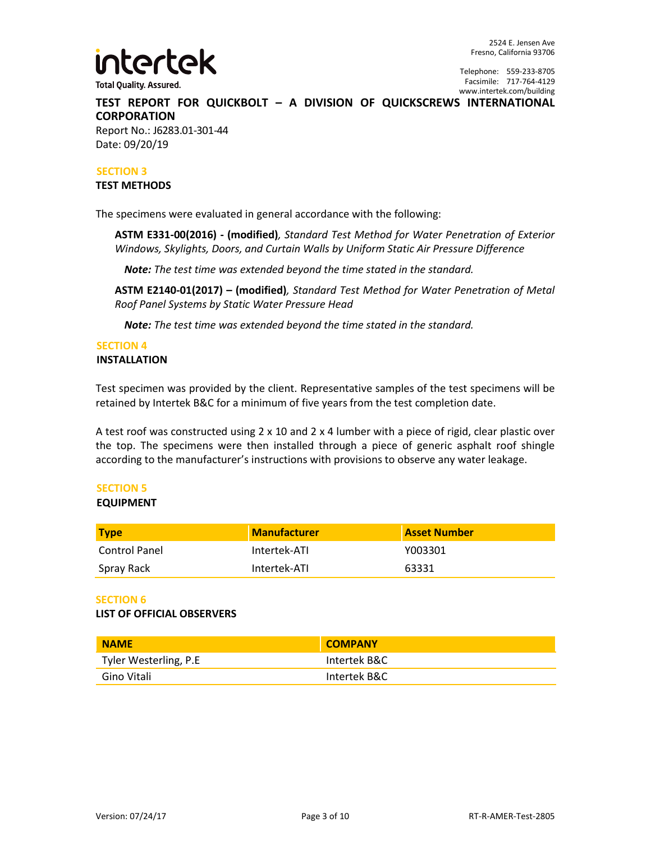

Telephone: 559-233-8705 Facsimile: 717-764-4129 www.intertek.com/building

# **TEST REPORT FOR QUICKBOLT – A DIVISION OF QUICKSCREWS INTERNATIONAL CORPORATION**

Report No.: J6283.01-301-44 Date: 09/20/19

#### **SECTION 3**

#### **TEST METHODS**

The specimens were evaluated in general accordance with the following:

**ASTM E331-00(2016) - (modified)***, Standard Test Method for Water Penetration of Exterior Windows, Skylights, Doors, and Curtain Walls by Uniform Static Air Pressure Difference*

*Note: The test time was extended beyond the time stated in the standard.*

**ASTM E2140-01(2017) – (modified)***, Standard Test Method for Water Penetration of Metal Roof Panel Systems by Static Water Pressure Head*

*Note: The test time was extended beyond the time stated in the standard.*

# **SECTION 4**

#### **INSTALLATION**

Test specimen was provided by the client. Representative samples of the test specimens will be retained by Intertek B&C for a minimum of five years from the test completion date.

A test roof was constructed using 2 x 10 and 2 x 4 lumber with a piece of rigid, clear plastic over the top. The specimens were then installed through a piece of generic asphalt roof shingle according to the manufacturer's instructions with provisions to observe any water leakage.

## **SECTION 5**

#### **EQUIPMENT**

| <b>Type</b>   | Manufacturer | <b>Asset Number</b> |
|---------------|--------------|---------------------|
| Control Panel | Intertek-ATI | Y003301             |
| Spray Rack    | Intertek-ATI | 63331               |

#### **SECTION 6**

#### **LIST OF OFFICIAL OBSERVERS**

| <b>NAME</b>           | <b>COMPANY</b> |
|-----------------------|----------------|
| Tyler Westerling, P.E | Intertek B&C   |
| Gino Vitali           | Intertek B&C   |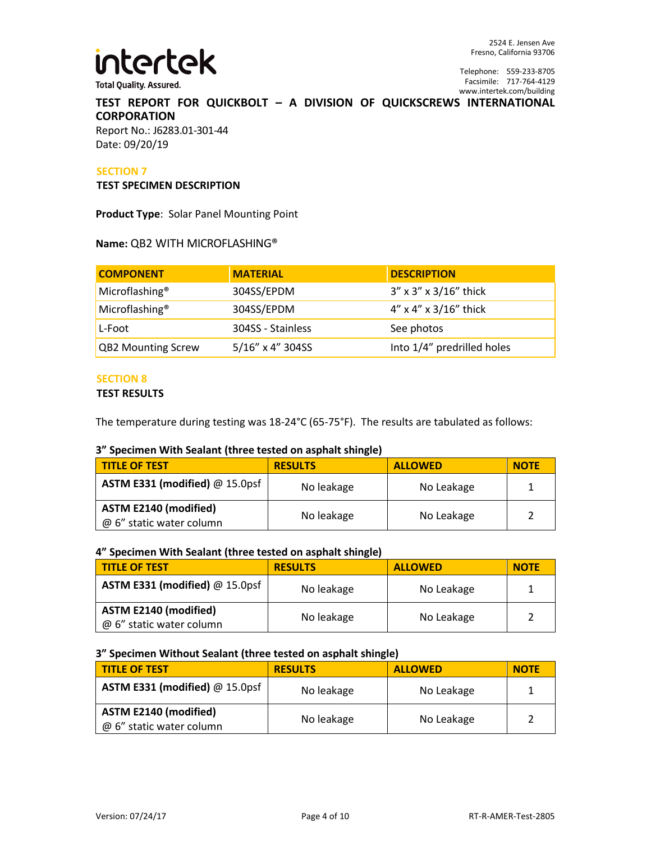

2524 E. Jensen Ave Fresno, California 93706

Telephone: 559-233-8705 Facsimile: 717-764-4129 www.intertek.com/building

### **TEST REPORT FOR QUICKBOLT – A DIVISION OF QUICKSCREWS INTERNATIONAL CORPORATION** Report No.: J6283.01-301-44

Date: 09/20/19

#### **SECTION 7**

#### **TEST SPECIMEN DESCRIPTION**

**Product Type**: Solar Panel Mounting Point

#### **Name:** QB2 WITH MICROFLASHING®

| <b>COMPONENT</b>           | <b>MATERIAL</b>   | <b>DESCRIPTION</b>             |
|----------------------------|-------------------|--------------------------------|
| Microflashing <sup>®</sup> | 304SS/EPDM        | $3''$ x $3''$ x $3/16''$ thick |
| Microflashing <sup>®</sup> | 304SS/EPDM        | $4''$ x $4''$ x $3/16''$ thick |
| L-Foot                     | 304SS - Stainless | See photos                     |
| <b>QB2 Mounting Screw</b>  | 5/16" x 4" 304SS  | Into 1/4" predrilled holes     |

#### **SECTION 8**

#### **TEST RESULTS**

The temperature during testing was 18-24°C (65-75°F). The results are tabulated as follows:

#### **3" Specimen With Sealant (three tested on asphalt shingle)**

| <b>TITLE OF TEST</b>                                     | <b>RESULTS</b> | <b>ALLOWED</b> | <b>NOTE</b> |
|----------------------------------------------------------|----------------|----------------|-------------|
| ASTM E331 (modified) @ 15.0psf                           | No leakage     | No Leakage     |             |
| <b>ASTM E2140 (modified)</b><br>@ 6" static water column | No leakage     | No Leakage     |             |

#### **4" Specimen With Sealant (three tested on asphalt shingle)**

| <b>TITLE OF TEST</b>                                     | <b>RESULTS</b> | <b>ALLOWED</b> | <b>NOTE</b> |
|----------------------------------------------------------|----------------|----------------|-------------|
| ASTM E331 (modified) $@$ 15.0psf                         | No leakage     | No Leakage     |             |
| <b>ASTM E2140 (modified)</b><br>@ 6" static water column | No leakage     | No Leakage     |             |

#### **3" Specimen Without Sealant (three tested on asphalt shingle)**

| <b>TITLE OF TEST</b>                                     | <b>RESULTS</b> | <b>ALLOWED</b> | <b>NOTE</b> |
|----------------------------------------------------------|----------------|----------------|-------------|
| ASTM E331 (modified) @ 15.0psf                           | No leakage     | No Leakage     |             |
| <b>ASTM E2140 (modified)</b><br>@ 6" static water column | No leakage     | No Leakage     |             |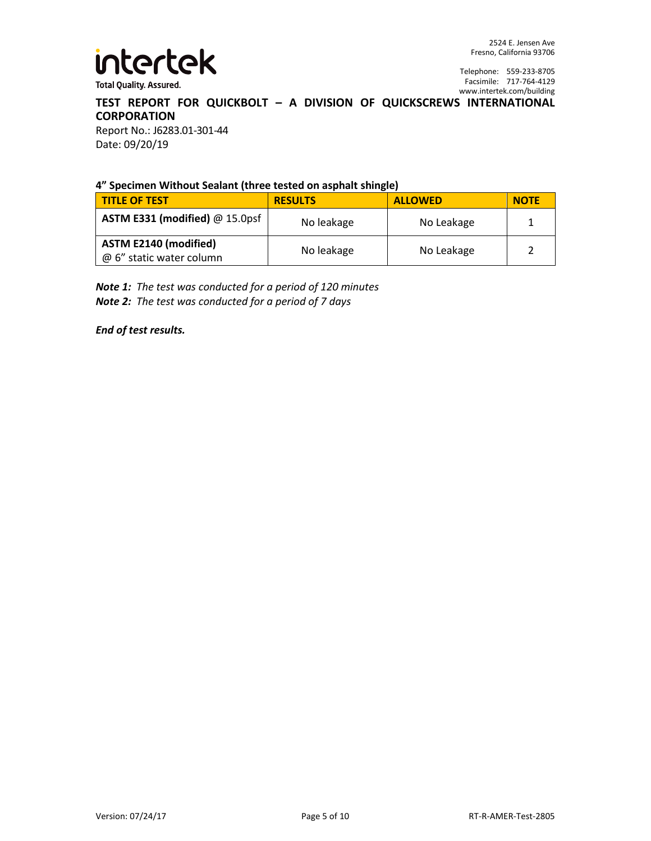

Telephone: 559-233-8705 Facsimile: 717-764-4129 www.intertek.com/building

# **TEST REPORT FOR QUICKBOLT – A DIVISION OF QUICKSCREWS INTERNATIONAL CORPORATION**

Report No.: J6283.01-301-44 Date: 09/20/19

#### **4" Specimen Without Sealant (three tested on asphalt shingle)**

| <b>TITLE OF TEST</b>                                     | <b>RESULTS</b> | <b>ALLOWED</b> | <b>NOTE</b> |
|----------------------------------------------------------|----------------|----------------|-------------|
| <b>ASTM E331 (modified)</b> $@$ 15.0psf                  | No leakage     | No Leakage     |             |
| <b>ASTM E2140 (modified)</b><br>@ 6" static water column | No leakage     | No Leakage     |             |

*Note 1: The test was conducted for a period of 120 minutes Note 2: The test was conducted for a period of 7 days*

*End of test results.*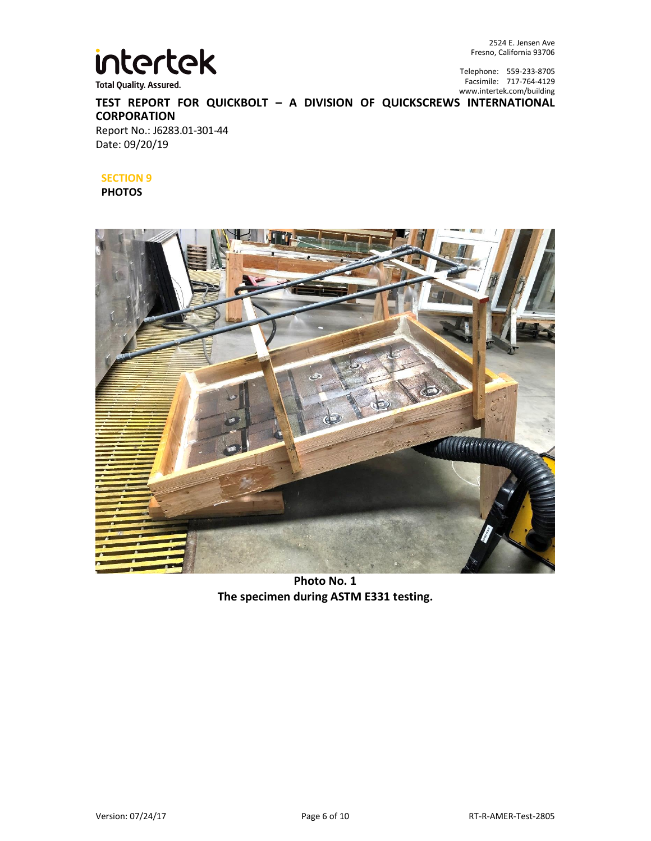

2524 E. Jensen Ave Fresno, California 93706

Telephone: 559-233-8705 Facsimile: 717-764-4129 www.intertek.com/building

**TEST REPORT FOR QUICKBOLT – A DIVISION OF QUICKSCREWS INTERNATIONAL CORPORATION** Report No.: J6283.01-301-44

Date: 09/20/19

#### **SECTION 9**

**PHOTOS**



**Photo No. 1 The specimen during ASTM E331 testing.**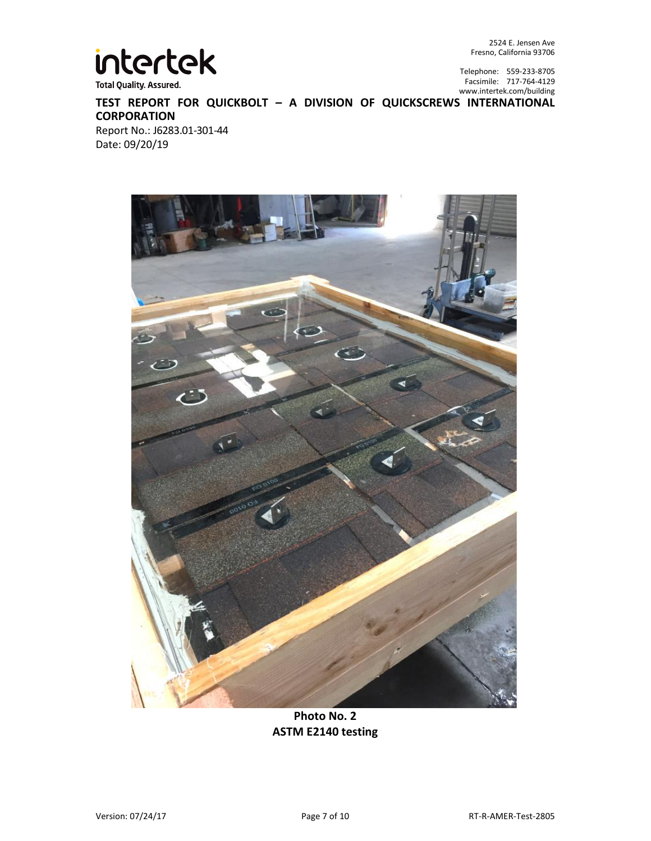

2524 E. Jensen Ave Fresno, California 93706

Telephone: 559-233-8705 Facsimile: 717-764-4129 www.intertek.com/building

**TEST REPORT FOR QUICKBOLT – A DIVISION OF QUICKSCREWS INTERNATIONAL CORPORATION** Report No.: J6283.01-301-44

Date: 09/20/19



**Photo No. 2 ASTM E2140 testing**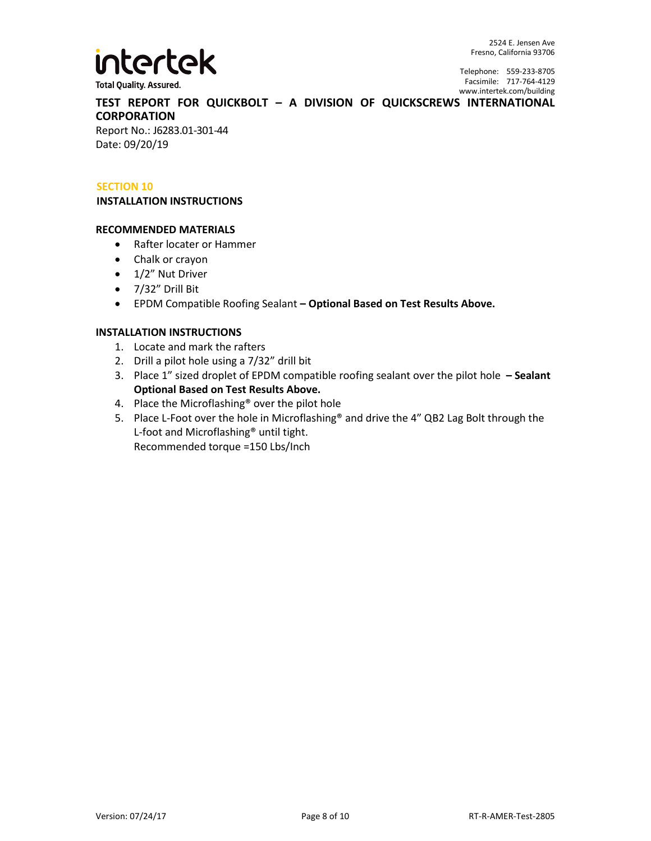

Telephone: 559-233-8705 Facsimile: 717-764-4129 www.intertek.com/building

**TEST REPORT FOR QUICKBOLT – A DIVISION OF QUICKSCREWS INTERNATIONAL CORPORATION**

Report No.: J6283.01-301-44 Date: 09/20/19

#### **SECTION 10**

#### **INSTALLATION INSTRUCTIONS**

#### **RECOMMENDED MATERIALS**

- Rafter locater or Hammer
- Chalk or crayon
- 1/2" Nut Driver
- $\bullet$  7/32" Drill Bit
- EPDM Compatible Roofing Sealant **– Optional Based on Test Results Above.**

#### **INSTALLATION INSTRUCTIONS**

- 1. Locate and mark the rafters
- 2. Drill a pilot hole using a 7/32" drill bit
- 3. Place 1" sized droplet of EPDM compatible roofing sealant over the pilot hole **– Sealant Optional Based on Test Results Above.**
- 4. Place the Microflashing® over the pilot hole
- 5. Place L-Foot over the hole in Microflashing® and drive the 4" QB2 Lag Bolt through the L-foot and Microflashing® until tight. Recommended torque =150 Lbs/Inch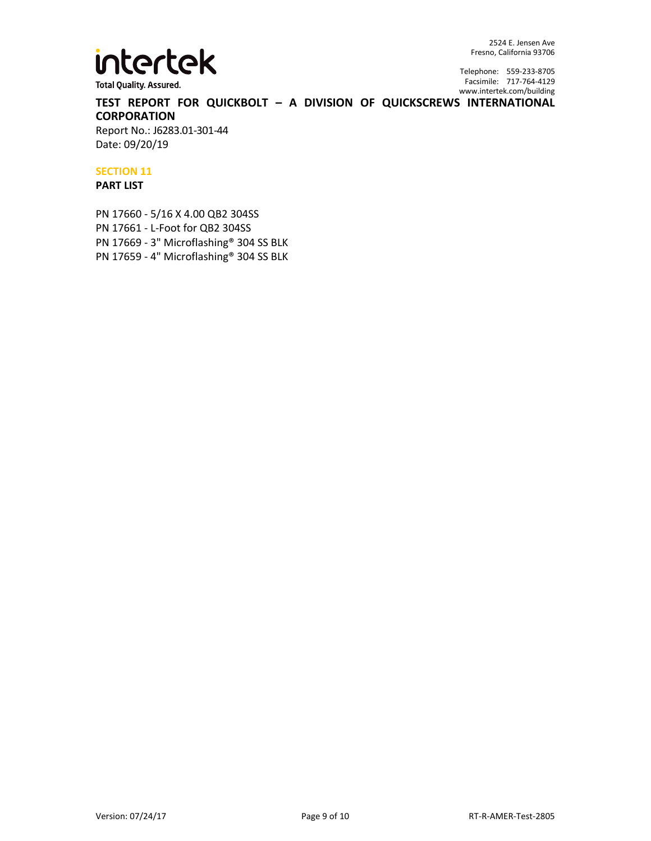

2524 E. Jensen Ave Fresno, California 93706

Telephone: 559-233-8705 Facsimile: 717-764-4129 www.intertek.com/building

**TEST REPORT FOR QUICKBOLT – A DIVISION OF QUICKSCREWS INTERNATIONAL CORPORATION**

Report No.: J6283.01-301-44 Date: 09/20/19

#### **SECTION 11**

#### **PART LIST**

PN 17660 - 5/16 X 4.00 QB2 304SS PN 17661 - L-Foot for QB2 304SS PN 17669 - 3" Microflashing® 304 SS BLK PN 17659 - 4" Microflashing® 304 SS BLK